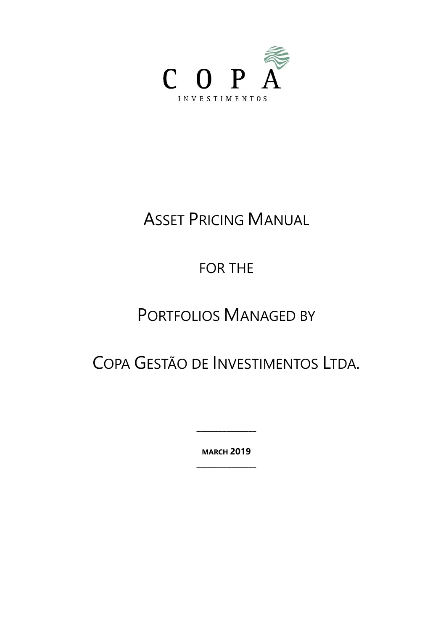

# ASSET PRICING MANUAL

# FOR THE

# PORTFOLIOS MANAGED BY

# COPA GESTÃO DE INVESTIMENTOS LTDA.

**MARCH 2019 \_\_\_\_\_\_\_\_\_\_\_\_\_\_\_\_**

**\_\_\_\_\_\_\_\_\_\_\_\_\_\_\_\_**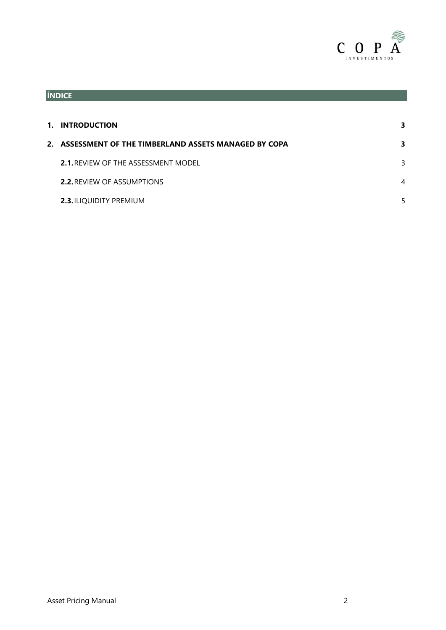

<span id="page-1-0"></span>

| 1. INTRODUCTION                                        |   |
|--------------------------------------------------------|---|
| 2. ASSESSMENT OF THE TIMBERLAND ASSETS MANAGED BY COPA |   |
| <b>2.1. REVIEW OF THE ASSESSMENT MODEL</b>             | 3 |
| <b>2.2. REVIEW OF ASSUMPTIONS</b>                      | 4 |
| <b>2.3. ILIQUIDITY PREMIUM</b>                         |   |
|                                                        |   |

**ÍNDICE**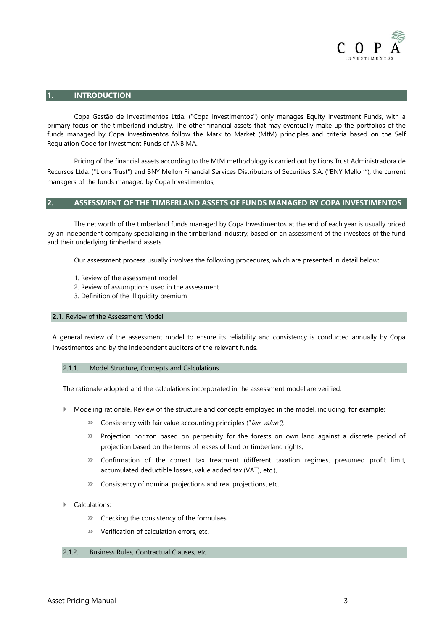

## **1. INTRODUCTION**

Copa Gestão de Investimentos Ltda. ("Copa Investimentos") only manages Equity Investment Funds, with a primary focus on the timberland industry. The other financial assets that may eventually make up the portfolios of the funds managed by Copa Investimentos follow the Mark to Market (MtM) principles and criteria based on the Self Regulation Code for Investment Funds of ANBIMA.

Pricing of the financial assets according to the MtM methodology is carried out by Lions Trust Administradora de Recursos Ltda. ("Lions Trust") and BNY Mellon Financial Services Distributors of Securities S.A. ("BNY Mellon"), the current managers of the funds managed by Copa Investimentos,

### <span id="page-2-0"></span>**2. ASSESSMENT OF THE TIMBERLAND ASSETS OF FUNDS MANAGED BY COPA INVESTIMENTOS**

The net worth of the timberland funds managed by Copa Investimentos at the end of each year is usually priced by an independent company specializing in the timberland industry, based on an assessment of the investees of the fund and their underlying timberland assets.

Our assessment process usually involves the following procedures, which are presented in detail below:

- 1. Review of the assessment model
- 2. Review of assumptions used in the assessment
- 3. Definition of the illiquidity premium

### **2.1.** Review of the Assessment Model

A general review of the assessment model to ensure its reliability and consistency is conducted annually by Copa Investimentos and by the independent auditors of the relevant funds.

### 2.1.1. Model Structure, Concepts and Calculations

The rationale adopted and the calculations incorporated in the assessment model are verified.

- Modeling rationale. Review of the structure and concepts employed in the model, including, for example:
	- **»** Consistency with fair value accounting principles ("fair value"),
	- **»** Projection horizon based on perpetuity for the forests on own land against a discrete period of projection based on the terms of leases of land or timberland rights,
	- **»** Confirmation of the correct tax treatment (different taxation regimes, presumed profit limit, accumulated deductible losses, value added tax (VAT), etc.),
	- **»** Consistency of nominal projections and real projections, etc.

#### Calculations:

- **»** Checking the consistency of the formulaes,
- **»** Verification of calculation errors, etc.

### 2.1.2. Business Rules, Contractual Clauses, etc.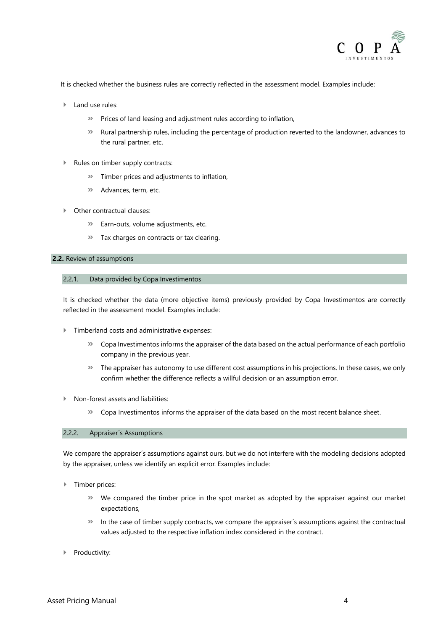

It is checked whether the business rules are correctly reflected in the assessment model. Examples include:

- Land use rules:
	- **»** Prices of land leasing and adjustment rules according to inflation,
	- **»** Rural partnership rules, including the percentage of production reverted to the landowner, advances to the rural partner, etc.
- Rules on timber supply contracts:
	- **»** Timber prices and adjustments to inflation,
	- **»** Advances, term, etc.
- Other contractual clauses:
	- **»** Earn-outs, volume adjustments, etc.
	- **»** Tax charges on contracts or tax clearing.

#### **2.2.** Review of assumptions

#### 2.2.1. Data provided by Copa Investimentos

It is checked whether the data (more objective items) previously provided by Copa Investimentos are correctly reflected in the assessment model. Examples include:

- Timberland costs and administrative expenses:
	- **»** Copa Investimentos informs the appraiser of the data based on the actual performance of each portfolio company in the previous year.
	- **»** The appraiser has autonomy to use different cost assumptions in his projections. In these cases, we only confirm whether the difference reflects a willful decision or an assumption error.
- Non-forest assets and liabilities:
	- **»** Copa Investimentos informs the appraiser of the data based on the most recent balance sheet.

#### 2.2.2. Appraiser´s Assumptions

We compare the appraiser's assumptions against ours, but we do not interfere with the modeling decisions adopted by the appraiser, unless we identify an explicit error. Examples include:

- **F** Timber prices:
	- **»** We compared the timber price in the spot market as adopted by the appraiser against our market expectations,
	- **»** In the case of timber supply contracts, we compare the appraiser´s assumptions against the contractual values adjusted to the respective inflation index considered in the contract.
- Productivity: